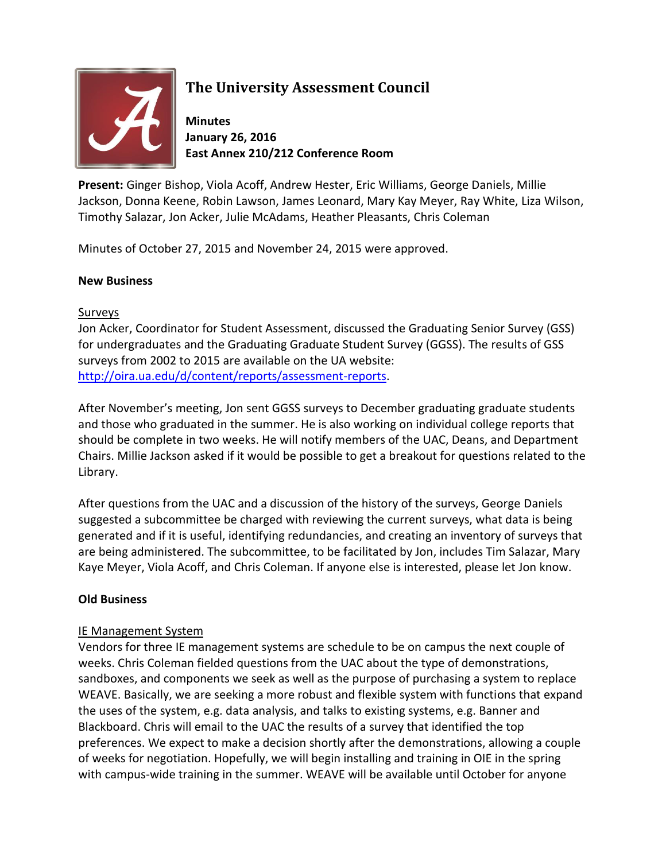

## **The University Assessment Council**

**Minutes January 26, 2016 East Annex 210/212 Conference Room**

**Present:** Ginger Bishop, Viola Acoff, Andrew Hester, Eric Williams, George Daniels, Millie Jackson, Donna Keene, Robin Lawson, James Leonard, Mary Kay Meyer, Ray White, Liza Wilson, Timothy Salazar, Jon Acker, Julie McAdams, Heather Pleasants, Chris Coleman

Minutes of October 27, 2015 and November 24, 2015 were approved.

#### **New Business**

#### Surveys

Jon Acker, Coordinator for Student Assessment, discussed the Graduating Senior Survey (GSS) for undergraduates and the Graduating Graduate Student Survey (GGSS). The results of GSS surveys from 2002 to 2015 are available on the UA website: [http://oira.ua.edu/d/content/reports/assessment-reports.](http://oira.ua.edu/d/content/reports/assessment-reports)

After November's meeting, Jon sent GGSS surveys to December graduating graduate students and those who graduated in the summer. He is also working on individual college reports that should be complete in two weeks. He will notify members of the UAC, Deans, and Department Chairs. Millie Jackson asked if it would be possible to get a breakout for questions related to the Library.

After questions from the UAC and a discussion of the history of the surveys, George Daniels suggested a subcommittee be charged with reviewing the current surveys, what data is being generated and if it is useful, identifying redundancies, and creating an inventory of surveys that are being administered. The subcommittee, to be facilitated by Jon, includes Tim Salazar, Mary Kaye Meyer, Viola Acoff, and Chris Coleman. If anyone else is interested, please let Jon know.

### **Old Business**

### IE Management System

Vendors for three IE management systems are schedule to be on campus the next couple of weeks. Chris Coleman fielded questions from the UAC about the type of demonstrations, sandboxes, and components we seek as well as the purpose of purchasing a system to replace WEAVE. Basically, we are seeking a more robust and flexible system with functions that expand the uses of the system, e.g. data analysis, and talks to existing systems, e.g. Banner and Blackboard. Chris will email to the UAC the results of a survey that identified the top preferences. We expect to make a decision shortly after the demonstrations, allowing a couple of weeks for negotiation. Hopefully, we will begin installing and training in OIE in the spring with campus-wide training in the summer. WEAVE will be available until October for anyone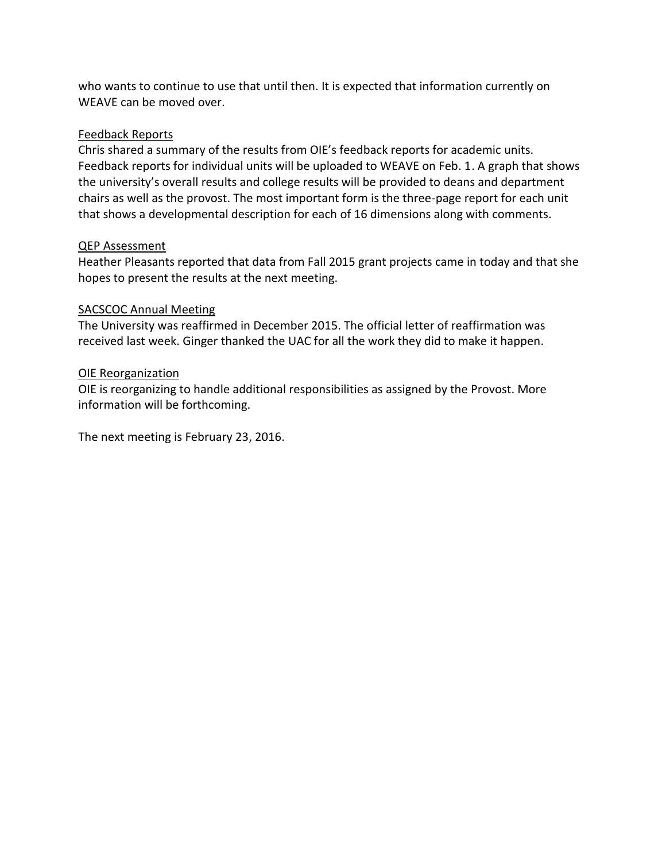who wants to continue to use that until then. It is expected that information currently on WEAVE can be moved over.

#### Feedback Reports

Chris shared a summary of the results from OIE's feedback reports for academic units. Feedback reports for individual units will be uploaded to WEAVE on Feb. 1. A graph that shows the university's overall results and college results will be provided to deans and department chairs as well as the provost. The most important form is the three-page report for each unit that shows a developmental description for each of 16 dimensions along with comments.

#### QEP Assessment

Heather Pleasants reported that data from Fall 2015 grant projects came in today and that she hopes to present the results at the next meeting.

#### SACSCOC Annual Meeting

The University was reaffirmed in December 2015. The official letter of reaffirmation was received last week. Ginger thanked the UAC for all the work they did to make it happen.

#### OIE Reorganization

OIE is reorganizing to handle additional responsibilities as assigned by the Provost. More information will be forthcoming.

The next meeting is February 23, 2016.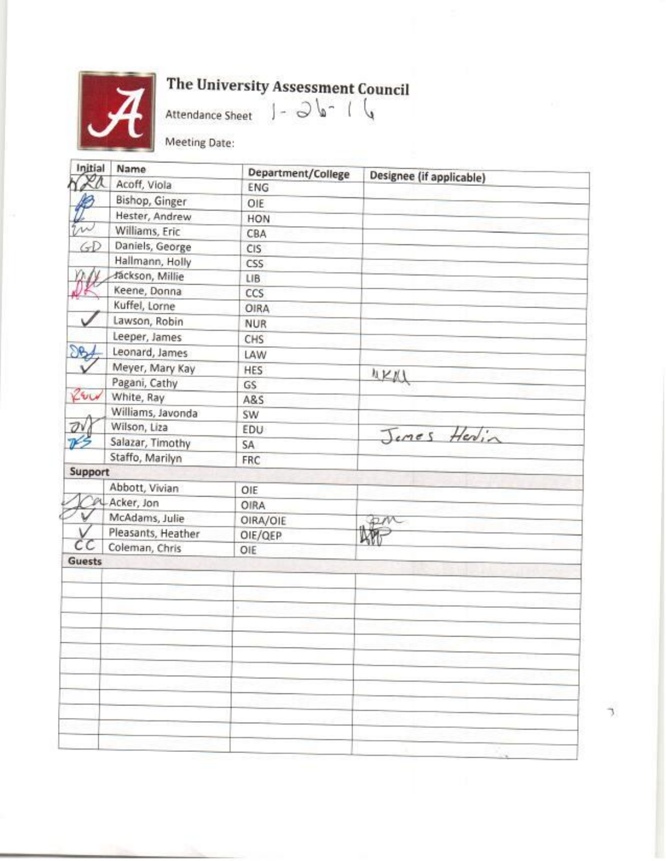

# The University Assessment Council<br>Attendance Sheet  $\int - \frac{1}{2} \int \int \int$

Meeting Date:

| Initial      | Name               | Department/College | Designee (if applicable) |
|--------------|--------------------|--------------------|--------------------------|
|              | Acoff, Viola       | ENG                |                          |
|              | Bishop, Ginger     | OIE                |                          |
|              | Hester, Andrew     | HON                |                          |
|              | Williams, Eric     | CBA                |                          |
| GD           | Daniels, George    | CIS                |                          |
|              | Hallmann, Holly    | <b>CSS</b>         |                          |
|              | Jáckson, Millie    | LIB.               |                          |
|              | Keene, Donna       | CCS                |                          |
|              | Kuffel, Lorne      | <b>OIRA</b>        |                          |
|              | Lawson, Robin      | <b>NUR</b>         |                          |
|              | Leeper, James      | CHS                |                          |
| $\partial B$ | Leonard, James     | LAW                |                          |
|              | Meyer, Mary Kay    | HES                |                          |
|              | Pagani, Cathy      | GS                 | NKM                      |
| REU          | White, Ray         | A&S                |                          |
|              | Williams, Javonda  | SW                 |                          |
| Öν           | Wilson, Liza       | EDU                |                          |
|              | Salazar, Timothy   | SA.                | Jemes Herin              |
|              | Staffo, Marilyn    | FRC                |                          |
| Support      |                    |                    |                          |
|              | Abbott, Vivian     | OIE                |                          |
|              | Acker, Jon         | OIRA               |                          |
|              | McAdams, Julie     | OIRA/OIE           |                          |
|              | Pleasants, Heather | OIE/QEP            |                          |
|              | Coleman, Chris     | OIE                |                          |
| Guests       |                    |                    |                          |
|              |                    |                    |                          |
|              |                    |                    |                          |
|              |                    |                    |                          |
|              |                    |                    |                          |
|              |                    |                    |                          |
|              |                    |                    |                          |
|              |                    |                    |                          |
|              |                    |                    |                          |
|              |                    |                    |                          |
|              |                    |                    |                          |
|              |                    |                    |                          |
|              |                    |                    |                          |

ď.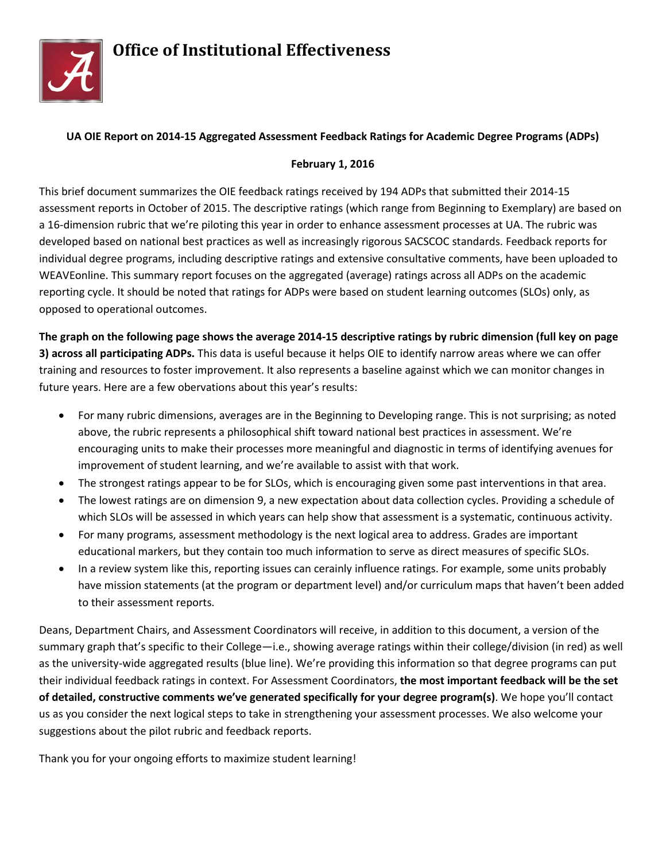

#### **UA OIE Report on 2014-15 Aggregated Assessment Feedback Ratings for Academic Degree Programs (ADPs)**

#### **February 1, 2016**

This brief document summarizes the OIE feedback ratings received by 194 ADPs that submitted their 2014-15 assessment reports in October of 2015. The descriptive ratings (which range from Beginning to Exemplary) are based on a 16-dimension rubric that we're piloting this year in order to enhance assessment processes at UA. The rubric was developed based on national best practices as well as increasingly rigorous SACSCOC standards. Feedback reports for individual degree programs, including descriptive ratings and extensive consultative comments, have been uploaded to WEAVEonline. This summary report focuses on the aggregated (average) ratings across all ADPs on the academic reporting cycle. It should be noted that ratings for ADPs were based on student learning outcomes (SLOs) only, as opposed to operational outcomes.

**The graph on the following page shows the average 2014-15 descriptive ratings by rubric dimension (full key on page 3) across all participating ADPs.** This data is useful because it helps OIE to identify narrow areas where we can offer training and resources to foster improvement. It also represents a baseline against which we can monitor changes in future years. Here are a few obervations about this year's results:

- For many rubric dimensions, averages are in the Beginning to Developing range. This is not surprising; as noted above, the rubric represents a philosophical shift toward national best practices in assessment. We're encouraging units to make their processes more meaningful and diagnostic in terms of identifying avenues for improvement of student learning, and we're available to assist with that work.
- The strongest ratings appear to be for SLOs, which is encouraging given some past interventions in that area.
- The lowest ratings are on dimension 9, a new expectation about data collection cycles. Providing a schedule of which SLOs will be assessed in which years can help show that assessment is a systematic, continuous activity.
- For many programs, assessment methodology is the next logical area to address. Grades are important educational markers, but they contain too much information to serve as direct measures of specific SLOs.
- In a review system like this, reporting issues can cerainly influence ratings. For example, some units probably have mission statements (at the program or department level) and/or curriculum maps that haven't been added to their assessment reports.

Deans, Department Chairs, and Assessment Coordinators will receive, in addition to this document, a version of the summary graph that's specific to their College—i.e., showing average ratings within their college/division (in red) as well as the university-wide aggregated results (blue line). We're providing this information so that degree programs can put their individual feedback ratings in context. For Assessment Coordinators, **the most important feedback will be the set of detailed, constructive comments we've generated specifically for your degree program(s)**. We hope you'll contact us as you consider the next logical steps to take in strengthening your assessment processes. We also welcome your suggestions about the pilot rubric and feedback reports.

Thank you for your ongoing efforts to maximize student learning!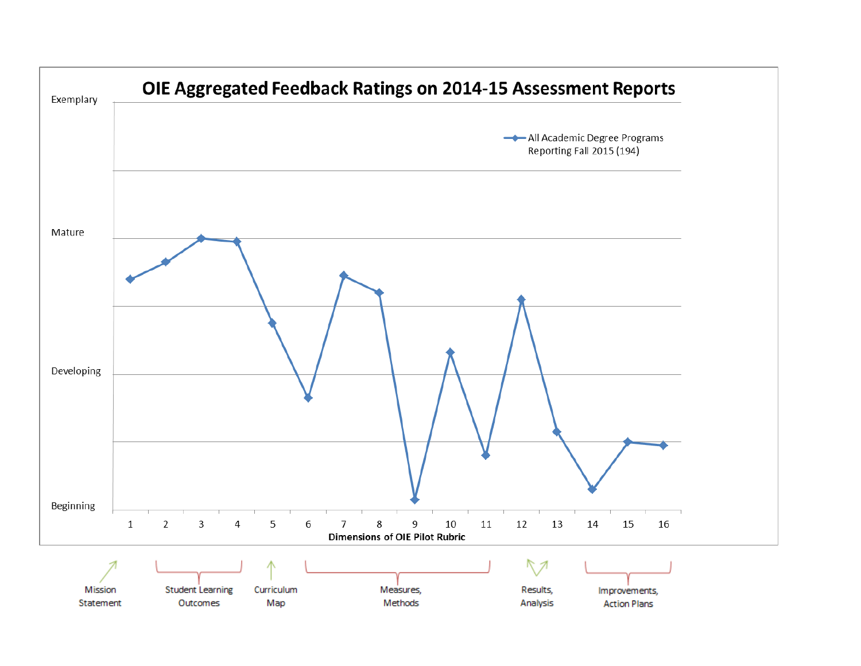